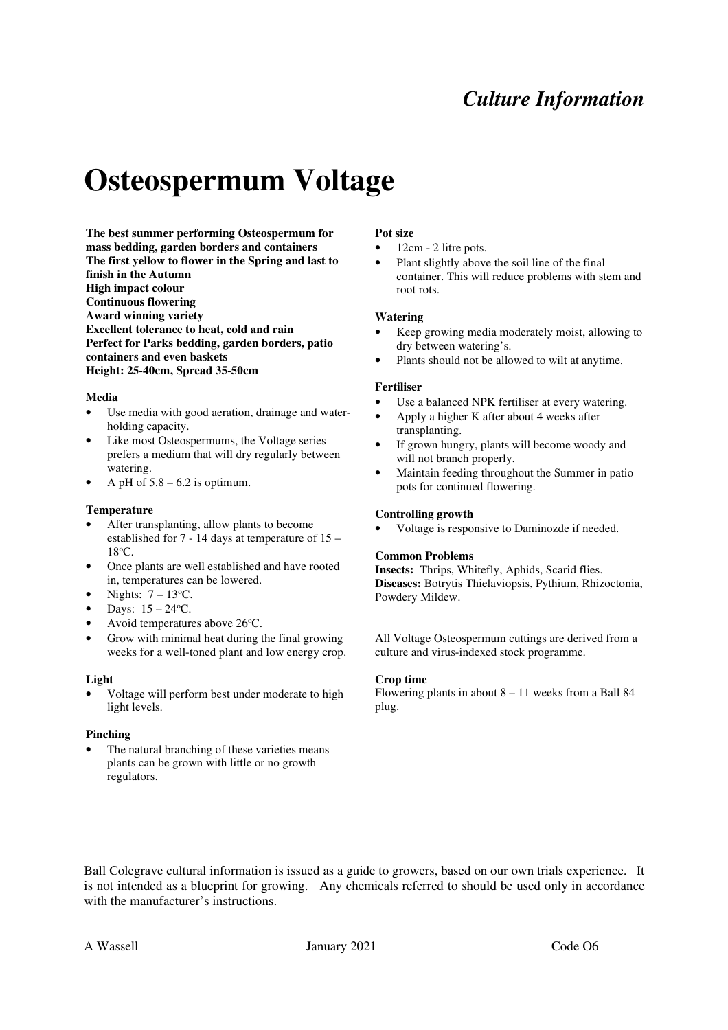## *Culture Information*

# **Osteospermum Voltage**

**The best summer performing Osteospermum for mass bedding, garden borders and containers The first yellow to flower in the Spring and last to finish in the Autumn High impact colour Continuous flowering Award winning variety Excellent tolerance to heat, cold and rain Perfect for Parks bedding, garden borders, patio containers and even baskets Height: 25-40cm, Spread 35-50cm** 

### **Media**

- Use media with good aeration, drainage and waterholding capacity.
- Like most Osteospermums, the Voltage series prefers a medium that will dry regularly between watering.
- A pH of  $5.8 6.2$  is optimum.

#### **Temperature**

- After transplanting, allow plants to become established for 7 - 14 days at temperature of 15 – 18<sup>o</sup>C.
- Once plants are well established and have rooted in, temperatures can be lowered.
- Nights:  $7 13$ <sup>o</sup>C.
- Days:  $15 24$ <sup>o</sup>C.
- Avoid temperatures above 26°C.
- Grow with minimal heat during the final growing weeks for a well-toned plant and low energy crop.

#### **Light**

Voltage will perform best under moderate to high light levels.

#### **Pinching**

The natural branching of these varieties means plants can be grown with little or no growth regulators.

## **Pot size**

- 12cm 2 litre pots.
- Plant slightly above the soil line of the final container. This will reduce problems with stem and root rots.

#### **Watering**

- Keep growing media moderately moist, allowing to dry between watering's.
- Plants should not be allowed to wilt at anytime.

#### **Fertiliser**

- Use a balanced NPK fertiliser at every watering.
- Apply a higher K after about 4 weeks after transplanting.
- If grown hungry, plants will become woody and will not branch properly.
- Maintain feeding throughout the Summer in patio pots for continued flowering.

#### **Controlling growth**

• Voltage is responsive to Daminozde if needed.

#### **Common Problems**

**Insects:** Thrips, Whitefly, Aphids, Scarid flies. **Diseases:** Botrytis Thielaviopsis, Pythium, Rhizoctonia, Powdery Mildew.

All Voltage Osteospermum cuttings are derived from a culture and virus-indexed stock programme.

#### **Crop time**

Flowering plants in about  $8 - 11$  weeks from a Ball 84 plug.

Ball Colegrave cultural information is issued as a guide to growers, based on our own trials experience. It is not intended as a blueprint for growing. Any chemicals referred to should be used only in accordance with the manufacturer's instructions.